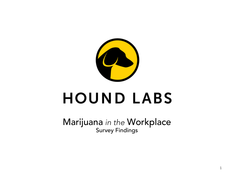

# **HOUND LABS**

Marijuana *in the* Workplace Survey Findings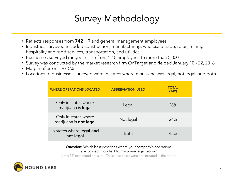### Survey Methodology

- Reflects responses from 742 HR and general management employees
- Industries surveyed included construction, manufacturing, wholesale trade, retail, mining, hospitality and food services, transportation, and utilities
- Businesses surveyed ranged in size from 1-10 employees to more than 5,000
- Survey was conducted by the market research firm OnTarget and fielded January 10 22, 2018
- Margin of error is +/-5%
- Locations of businesses surveyed were in states where marijuana was legal, not legal, and both

| <b>WHERE OPERATIONS LOCATED</b>                | <b>ABBREVIATION USED</b> | <b>TOTAL</b><br>(742) |
|------------------------------------------------|--------------------------|-----------------------|
| Only in states where<br>marijuana is legal     | Legal                    | 28%                   |
| Only in states where<br>marijuana is not legal | Not legal                | 24%                   |
| In states where legal and<br>not legal         | <b>Both</b>              | 45%                   |

#### **Question:** Which best describes where your company's operations are located in context to marijuana legalization?

Note: 3% responded not sure. These responses were not included in the report.

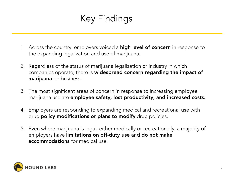### Key Findings

- 1. Across the country, employers voiced a **high level of concern** in response to the expanding legalization and use of marijuana.
- 2. Regardless of the status of marijuana legalization or industry in which companies operate, there is widespread concern regarding the impact of marijuana on business.
- 3. The most significant areas of concern in response to increasing employee marijuana use are employee safety, lost productivity, and increased costs.
- 4. Employers are responding to expanding medical and recreational use with drug **policy modifications or plans to modify** drug policies.
- 5. Even where marijuana is legal, either medically or recreationally, a majority of employers have limitations on off-duty use and do not make accommodations for medical use.

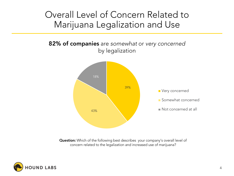#### Overall Level of Concern Related to Marijuana Legalization and Use



Question: Which of the following best describes your company's overall level of concern related to the legalization and increased use of marijuana?

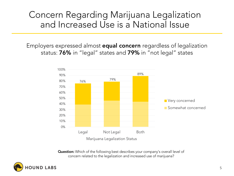#### Concern Regarding Marijuana Legalization and Increased Use is a National Issue

Employers expressed almost equal concern regardless of legalization status: 76% in "legal" states and 79% in "not legal" states



**Question:** Which of the following best describes your company's overall level of concern related to the legalization and increased use of marijuana?

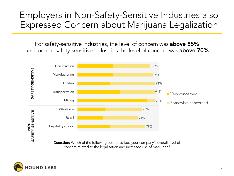#### Employers in Non-Safety-Sensitive Industries also Expressed Concern about Marijuana Legalization

For safety-sensitive industries, the level of concern was **above 85%** and for non-safety-sensitive industries the level of concern was **above 70%** 



Question: Which of the following best describes your company's overall level of concern related to the legalization and increased use of marijuana?

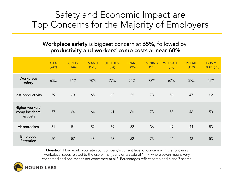#### Safety and Economic Impact are Top Concerns for the Majority of Employers

#### Workplace safety is biggest concern at 65%, followed by productivity and workers' comp costs at near 60%

|                                              | <b>TOTAL</b><br>(742) | <b>CONS</b><br>(144) | <b>MANU</b><br>(128) | <b>UTILITIES</b><br>(34) | <b>TRANS</b><br>(96) | <b>MINING</b><br>(11) | <b>WHLSALE</b><br>(82) | <b>RETAIL</b><br>(152) | HOSP/<br><b>FOOD (95)</b> |
|----------------------------------------------|-----------------------|----------------------|----------------------|--------------------------|----------------------|-----------------------|------------------------|------------------------|---------------------------|
| Workplace<br>safety                          | 65%                   | 74%                  | 70%                  | 77%                      | 74%                  | 73%                   | 67%                    | 50%                    | 52%                       |
| Lost productivity                            | 59                    | 63                   | 65                   | 62                       | 59                   | 73                    | 56                     | 47                     | 62                        |
| Higher workers'<br>comp incidents<br>& costs | 57                    | 64                   | 64                   | 41                       | 66                   | 73                    | 57                     | 46                     | 50                        |
| Absenteeism                                  | 51                    | 51                   | 57                   | 59                       | 52                   | 36                    | 49                     | 44                     | 53                        |
| Employee<br>Retention                        | 50                    | 57                   | 48                   | 53                       | 52                   | 73                    | 44                     | 43                     | 53                        |

Question: How would you rate your company's current level of concern with the following workplace issues related to the use of marijuana on a scale of 1 – 7, where seven means very concerned and one means not concerned at all? Percentages reflect combined 6 and 7 scores.

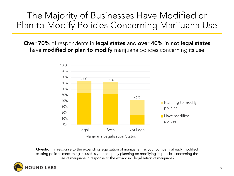#### The Majority of Businesses Have Modified or Plan to Modify Policies Concerning Marijuana Use

Over 70% of respondents in legal states and over 40% in not legal states have **modified or plan to modify** marijuana policies concerning its use



**Question:** In response to the expanding legalization of marijuana, has your company already modified existing policies concerning its use? Is your company planning on modifying its policies concerning the use of marijuana in response to the expanding legalization of marijuana?

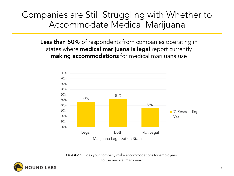#### Companies are Still Struggling with Whether to Accommodate Medical Marijuana

Less than 50% of respondents from companies operating in states where **medical marijuana is legal** report currently making accommodations for medical marijuana use



Question: Does your company make accommodations for employees to use medical marijuana?

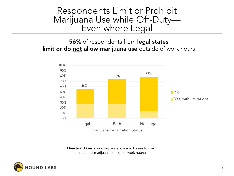## Respondents Limit or Prohibit Marijuana Use while Off-Duty—<br>Even where Legal

**56%** of respondents from legal states limit or do not allow marijuana use outside of work hours



**Question:** Does your company allow employees to use recreational marijuana outside of work hours?

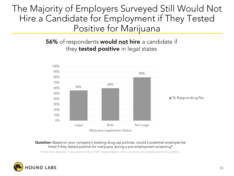The Majority of Employers Surveyed Still Would Not Hire a Candidate for Employment if They Tested Positive for Marijuana

> **56%** of respondents **would <u>not</u> hire** a candidate if they **tested positive** in legal states



Question: Based on your company's existing drug use policies, would a potential employee be hired if they tested positive for marijuana during a pre-employment screening?

Note: this question was asked only of 547 respondents who conduct pre-employment drug tests.